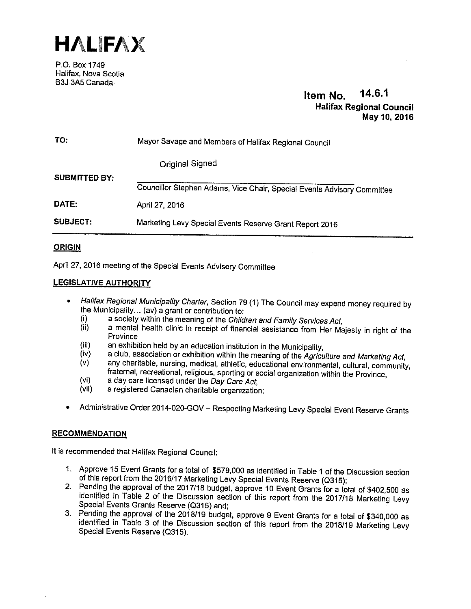

P.O. Box 1749 Halifax, Nova Scotia B3J 3A5 Canada

# Item No. 14.6.1 Halifax Regional Council May 10, 2016

| TO:                  | Mayor Savage and Members of Halifax Regional Council                    |  |  |
|----------------------|-------------------------------------------------------------------------|--|--|
|                      | Original Signed                                                         |  |  |
| <b>SUBMITTED BY:</b> | Councillor Stephen Adams, Vice Chair, Special Events Advisory Committee |  |  |
| DATE:                | April 27, 2016                                                          |  |  |
| SUBJECT:             | Marketing Levy Special Events Reserve Grant Report 2016                 |  |  |

# ORIGIN

April 27, <sup>2016</sup> meeting of the Special Events Advisory Committee

# LEGISLATIVE AUTHORITY

- • Halifax Regional Municipality Charter, Section <sup>79</sup> (1) The Council may expend money required by the Municipality... (av) a grant or contribution to:<br>(i) a society within the meaning of the Children and Family Services Act,
	-
	- (i) a society within the meaning of the *Children and Family Services Act,*<br>(ii) a mental health clinic in receipt of financial assistance from Her Majesty in right of the Province
	-
	- (iii) an exhibition held by an education institution in the Municipality,<br>(iv) a club, association or exhibition within the meaning of the *Agriculture and Marketing Act,*
	- $(v)$  any charitable, nursing, medical, athletic, educational environmental, cultural, community, fraternal, recreational, religious, sporting or social organization within the Province,
	- (vi) a day care licensed under the  $\overline{Day}$  Care Act,<br>(vii) a registered Canadian charitable organization
	- a registered Canadian charitable organization;
- •Administrative Order 2014-020-GOV — Respecting Marketing Levy Special Event Reserve Grants

## **RECOMMENDATION**

It is recommended that Halifax Regional Council:

- 1. Approve 15 Event Grants for a total of \$579,000 as identified in Table 1 of the Discussion section of this report from the 2016/17 Marketing Levy Special Events Reserve (Q315);<br>2. Pending the approval of the 2017/18 bud
- identified in Table 2 of the Discussion section of this report from the 2017/18 Marketing Levy
- Special Events Grants Reserve (Q315) and;<br>3. Pending the approval of the 2018/19 budget, approve 9 Event Grants for a total of \$340,000 as identified in Table 3 of the Discussion section of this report from the 2018/19 Marketing Levy Special Events Reserve (Q315).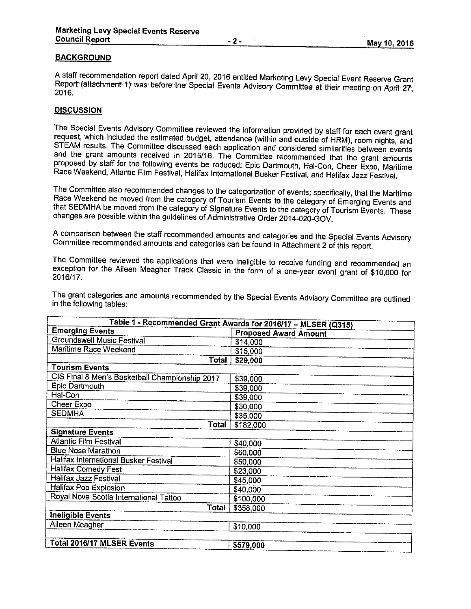#### **BACKGROUND**

A staff recommendation report dated April 20, 2016 entitled Marketing Levy Special Event Reserve Grant<br>Report (attachment 1) was before the Special Events Advisory Committee at their meeting on April 27,<br>2016.

## **DISCUSSION**

The Special Events Advisory Committee reviewed the information provided by staff for each event grant request, which included the estimated budget, attendance (within and outside of HRM), room nights, and STEAM results. The Committee discussed each application and considered similarities between events<br>and the grant amounts received in 2015/16. The Committee recommended that the grant amounts proposed by staff for the following events be reduced: Epic Dartmouth, Hal-Con, Cheer Expo, Maritime<br>Race Weekend, Atlantic Film Festival, Halifax International Busker Festival, and Halifax Jazz Festival.

The Committee also recommended changes to the categorization of events; specifically, that the Maritime<br>Race Weekend be moved from the category of Tourism Events to the category of Emerging Events and<br>that SEDMHA be moved changes are possible within the guidelines of Administrative Order 2014-020-GOV.

<sup>A</sup> comparison between the staff recommended amounts and categories and the Special Events Advisory Committee recommended amounts and categories can be found in Attachment <sup>2</sup> of this report.

The Committee reviewed the applications that were ineligible to receive funding and recommended an exception for the Aileen Meagher Track Classic in the form of <sup>a</sup> one-year event grant of \$10,000 for 2016/1 7.

| Table 1 - Recommended Grant Awards for 2016/17 - MLSER (Q315) |                              |  |  |
|---------------------------------------------------------------|------------------------------|--|--|
| <b>Emerging Events</b>                                        | <b>Proposed Award Amount</b> |  |  |
| <b>Groundswell Music Festival</b>                             | \$14,000                     |  |  |
| Maritime Race Weekend                                         | \$15,000                     |  |  |
| Total                                                         | \$29,000                     |  |  |
| <b>Tourism Events</b>                                         |                              |  |  |
| CIS Final 8 Men's Basketball Championship 2017                | \$39,000                     |  |  |
| Epic Dartmouth                                                | \$39,000                     |  |  |
| Hal-Con                                                       | \$39,000                     |  |  |
| Cheer Expo                                                    | \$30,000                     |  |  |
| <b>SEDMHA</b>                                                 | \$35,000                     |  |  |
| Total                                                         | \$182,000                    |  |  |
| <b>Signature Events</b>                                       |                              |  |  |
| <b>Atlantic Film Festival</b>                                 | \$40,000                     |  |  |
| <b>Blue Nose Marathon</b>                                     | \$60,000                     |  |  |
| Halifax International Busker Festival                         | \$50,000                     |  |  |
| <b>Halifax Comedy Fest</b>                                    | \$23,000                     |  |  |
| <b>Halifax Jazz Festival</b>                                  | \$45,000                     |  |  |
| Halifax Pop Explosion                                         | \$40,000                     |  |  |
| Royal Nova Scotia International Tattoo                        | \$100,000                    |  |  |
| Total                                                         | \$358,000                    |  |  |
| <b>Ineligible Events</b>                                      |                              |  |  |
| Aileen Meagher                                                | \$10,000                     |  |  |
|                                                               |                              |  |  |
| <b>Total 2016/17 MLSER Events</b><br>\$579,000                |                              |  |  |

The grant categories and amounts recommended by the Special Events Advisory Committee are outlined<br>in the following tables: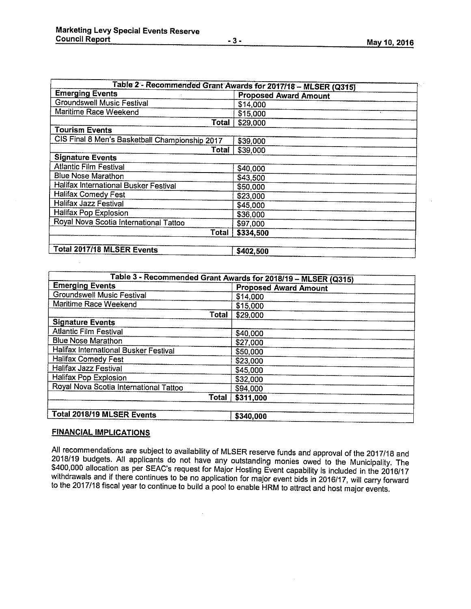|  | May 10, 2016 |
|--|--------------|
|  |              |

| Table 2 - Recommended Grant Awards for 2017/18 - MLSER (Q315) |                              |  |  |  |
|---------------------------------------------------------------|------------------------------|--|--|--|
| <b>Emerging Events</b>                                        | <b>Proposed Award Amount</b> |  |  |  |
| <b>Groundswell Music Festival</b>                             | \$14,000                     |  |  |  |
| Maritime Race Weekend                                         | \$15,000                     |  |  |  |
| Total                                                         | \$29,000                     |  |  |  |
| <b>Tourism Events</b>                                         |                              |  |  |  |
| CIS Final 8 Men's Basketball Championship 2017                | \$39,000                     |  |  |  |
| Total                                                         | \$39,000                     |  |  |  |
| <b>Signature Events</b>                                       |                              |  |  |  |
| <b>Atlantic Film Festival</b>                                 | \$40,000                     |  |  |  |
| <b>Blue Nose Marathon</b>                                     | \$43,500                     |  |  |  |
| Halifax International Busker Festival                         | \$50,000                     |  |  |  |
| <b>Halifax Comedy Fest</b>                                    | \$23,000                     |  |  |  |
| <b>Halifax Jazz Festival</b>                                  | \$45,000                     |  |  |  |
| Halifax Pop Explosion                                         | \$36,000                     |  |  |  |
| Royal Nova Scotia International Tattoo                        | \$97,000                     |  |  |  |
| Total                                                         | \$334,500                    |  |  |  |
| <b>Total 2017/18 MLSER Events</b><br>\$402,500                |                              |  |  |  |

| Table 3 - Recommended Grant Awards for 2018/19 - MLSER (Q315) |           |  |  |  |
|---------------------------------------------------------------|-----------|--|--|--|
| <b>Emerging Events</b><br><b>Proposed Award Amount</b>        |           |  |  |  |
| Groundswell Music Festival                                    | \$14,000  |  |  |  |
| Maritime Race Weekend                                         | \$15,000  |  |  |  |
| Total                                                         | \$29,000  |  |  |  |
| <b>Signature Events</b>                                       |           |  |  |  |
| <b>Atlantic Film Festival</b>                                 | \$40,000  |  |  |  |
| <b>Blue Nose Marathon</b>                                     | \$27,000  |  |  |  |
| Halifax International Busker Festival                         | \$50,000  |  |  |  |
| <b>Halifax Comedy Fest</b>                                    | \$23,000  |  |  |  |
| <b>Halifax Jazz Festival</b>                                  | \$45,000  |  |  |  |
| Halifax Pop Explosion                                         | \$32,000  |  |  |  |
| Royal Nova Scotia International Tattoo                        | \$94,000  |  |  |  |
| Total                                                         | \$311,000 |  |  |  |
| Total 2018/19 MLSER Events<br>\$340,000                       |           |  |  |  |

# FINANCIAL IMPLICATIONS

All recommendations are subject to availability of MLSER reserve funds and approval of the 2017/18 and 2018/19 budgets. All applicants do not have any outstanding monies owed to the Municipality. The \$400,000 allocation as

 $\ddot{\phantom{1}}$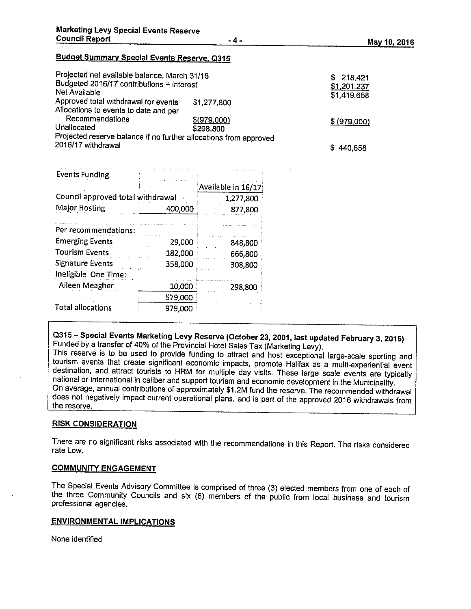# Budget Summary Special Events Reserve, 0315

| Projected net available balance, March 31/16<br>Budgeted 2016/17 contributions + interest<br>Net Available |                          | 218,421<br>S.<br>\$1,201,237<br>\$1,419,658 |
|------------------------------------------------------------------------------------------------------------|--------------------------|---------------------------------------------|
| Approved total withdrawal for events<br>Allocations to events to date and per                              | \$1,277,800              |                                             |
| Recommendations<br>Unallocated<br>Projected reserve balance if no further allocations from approved        | \$(979,000)<br>\$298,800 | \$ (979,000)                                |
| 2016/17 withdrawal                                                                                         |                          | \$440,658                                   |

| <b>Events Funding</b>             |         |                    |
|-----------------------------------|---------|--------------------|
|                                   |         | Available in 16/17 |
| Council approved total withdrawal |         | 1,277,800          |
| <b>Major Hosting</b>              | 400,000 | 877,800            |
| Per recommendations:              |         |                    |
| <b>Emerging Events</b>            | 29,000  | 848,800            |
| <b>Tourism Events</b>             | 182,000 | 666,800            |
| <b>Signature Events</b>           | 358,000 | 308,800            |
| Ineligible One Time:              |         |                    |
| Aileen Meagher                    | 10,000  | 298,800            |
|                                   | 579,000 |                    |
| <b>Total allocations</b>          | 979,000 |                    |

# Q315 – Special Events Marketing Levy Reserve (October 23, 2001, last updated February 3, 2015)<br>Funded by a transfer of 40% of the Provincial Hotel Sales Tax (Marketing Levy).<br>This reserve is to be used to provide funding t

tourism events that create significant economic impacts, promote Halifax as a multi-experiential event<br>destination, and attract tourists to HRM for multiple day visits. These large scale events are typically national or international in caliber and support tourism and economic development in the Municipality. does not negatively impact current operational plans, and is part of the approved 2016 withdrawals from the reserve.

## RISK CONSIDERATION

There are no significant risks associated with the recommendations in this Report. The risks considered rate Low.

#### COMMUNITY ENGAGEMENT

The Special Events Advisory Committee is comprised of three (3) elected members from one of each of the three Community Councils and six (6) members of the public from local business and tourism professional agencies.

# ENVIRONMENTAL IMPLICATIONS

None identified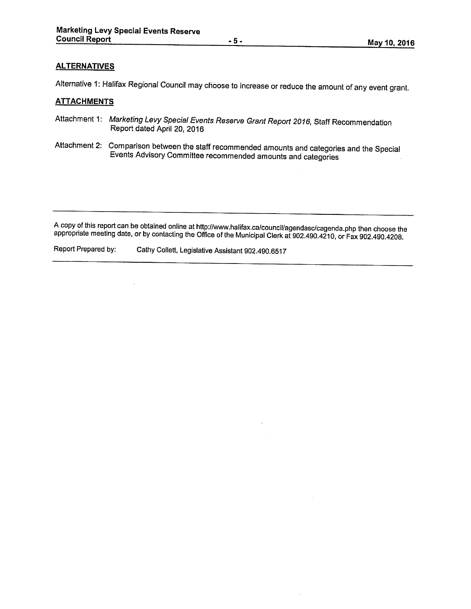## **ALTERNATIVES**

Alternative 1: Halifax Regional Council may choose to increase or reduce the amount of any event grant.

# **ATTACHMENTS**

- Attachment 1: Marketing Levy Special Events Reserve Grant Report 2016, Staff Recommendation Report dated April 20, 2016
- Attachment 2: Comparison between the staff recommended amounts and categories and the Special Events Advisory Committee recommended amounts and categories

A copy of this report can be obtained online at http://www.halifax.ca/council/agendasc/cagenda.php then choose the<br>appropriate meeting date, or by contacting the Office of the Municipal Clerk at 902.490.4210, or Fax 902.49

Report Prepared by: Cathy Collett, Legislative Assistant 902.490.6517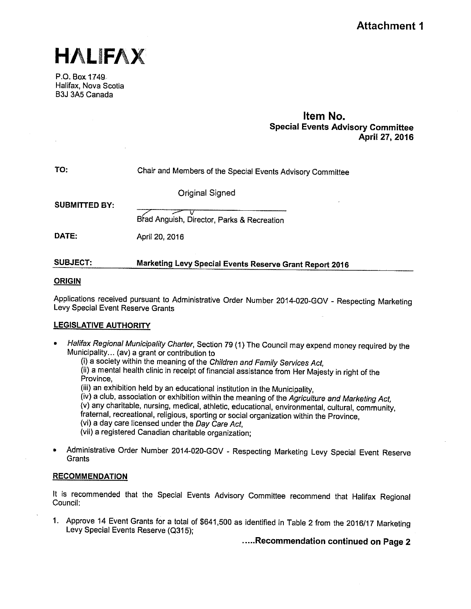

P.O. Box 1749 Halifax, Nova Scotia B3J 3A5 Canada

# Item No. Special Events Advisory Committee April 27, 2016

| TO: | Chair and Members of the Special Events Advisory Committee |
|-----|------------------------------------------------------------|
|-----|------------------------------------------------------------|

Original Signed

SUBMITTED BY:

F— Brad Anguish, Director, Parks & Recreation

**DATE:** April 20, 2016

# SUBJECT: Marketing Levy Special Events Reserve Grant Report <sup>2016</sup>

# ORIGIN

Applications received pursuant to Administrative Order Number 2014-020-GOV - Respecting Marketing Levy Special Event Reserve Grants

# LEGISLATIVE AUTHORITY

- • Halifax Regional Municipality Charter, Section <sup>79</sup> (1) The Council may expend money required by the Municipahty... (av) <sup>a</sup> grant or contribution to
	- (i) a society within the meaning of the Children and Family Services Act,

(ii) <sup>a</sup> mental health clinic in receipt of financial assistance from Her Majesty in right of the Province,

(iii) an exhibition held by an educational institution in the Municipality,

(iv) <sup>a</sup> club, association or exhibition within the meaning of the Agriculture and Marketing Act, (v) any charitable, nursing, medical, athletic, educational, environmental, cultural, community, fraternal, recreational, religious, sporting or social organization within the Province, (vi) <sup>a</sup> day care licensed under the Day Care Act,

(vii) a registered Canadian charitable organization;

•Administrative Order Number 2014-020-GOV - Respecting Marketing Levy Special Event Reserve **Grants** 

# **RECOMMENDATION**

It is recommended that the Special Events Advisory Committee recommend that Halifax Regional Council:

1. Approve <sup>14</sup> Event Grants for <sup>a</sup> total of \$641,500 as identified in Table <sup>2</sup> from the 2016/17 Marketing Levy Special Events Reserve (Q315);

.....Recommendation continued on Page 2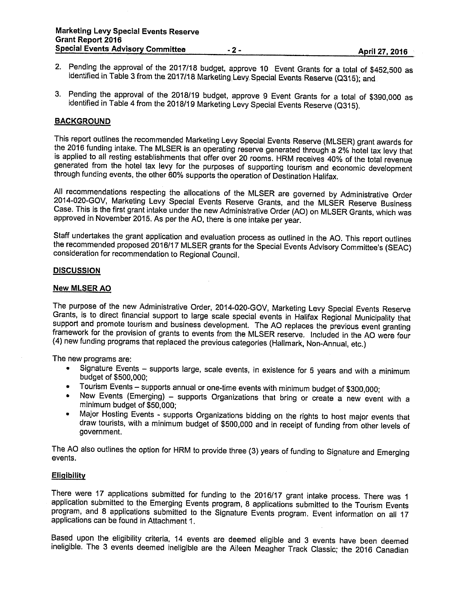- 2. Pending the approval of the <sup>2017116</sup> budget, approve <sup>10</sup> Event Grants for <sup>a</sup> total of \$452,500 as identified in Table <sup>3</sup> from the 2017/18 Marketing Levy Special Events Reserve (Q315); and
- 3. Pending the approval of the 2018/19 budget, approve 9 Event Grants for a total of \$390,000 as identified in Table 4 from the 2018/19 Marketing Levy Special Events Reserve (Q315).

#### **BACKGROUND**

This report outlines the recommended Marketing Levy Special Events Reserve (MLSER) grant awards for the <sup>2016</sup> funding intake. The MLSER is an operating reserve generated through <sup>a</sup> 2% hotel tax levy that is applied to all resting establishments that offer over <sup>20</sup> rooms. HRM receives 40% of the total revenue generated from the hotel tax levy for the purposes of supporting tourism and economic development through funding events, the other 60% supports the operation of Destination Halifax.

All recommendations respecting the allocations of the MLSER are governed by Administrative Order 2014-020-GDV, Marketing Levy Special Events Reserve Grants, and the MLSER Reserve Business Case. This is the first grant intake under the new Administrative Order (AD) on MLSER Grants, which was approved in November 2015. As per the AD, there is one intake per year.

Staff undertakes the grant application and evaluation process as outlined in the AD. This report outlines the recommended proposed 2016/17 MLSER grants for the Special Events Advisory Committee's (SEAC) consideration for recommendation to Regional Council.

#### **DISCUSSION**

#### New MLSER AO

The purpose of the new Administrative Order, 2014-020-GDV, Marketing Levy Special Events Reserve Grants, is to direct financial support to large scale special events in Halifax Regional Municipality that framework for the provision of grants to events from the MLSER reserve. Included in the AO were four (4) new funding programs that replaced the previous categories (Hallmark, Non-Annual, etc.)

The new programs are;

- • Signature Events — supports large, scale events, in existence for <sup>5</sup> years and with <sup>a</sup> minimum budget of \$500,000;
- •Tourism Events — supports annual or one-time events with minimum budget of \$300,000;
- • New Events (Emerging) — supports Drganizations that bring or create <sup>a</sup> new event with <sup>a</sup> minimum budget of \$50,000;
- • Major Hosting Events - supports Organizations bidding on the rights to host major events that draw tourists, with <sup>a</sup> minimum budget of \$500,000 and in receipt of funding from other levels of government.

The AD also outlines the option for HRM to provide three (3) years of funding to Signature and Emerging events.

#### **Eligibility**

There were <sup>17</sup> applications submitted for funding to the 2016/17 grant intake process. There was <sup>1</sup> application submitted to the Emerging Events program, <sup>8</sup> applications submitted to the Tourism Events program, and 8 applications submitted to the Signature Events program. Event information on all 17 applications can be found in Attachment 1.

Based upon the eligibility criteria, <sup>14</sup> events are deemed eligible and <sup>3</sup> events have been deemed ineligible. The <sup>3</sup> events deemed ineligible are the Aileen Meagher Track Classic; the <sup>2016</sup> Canadian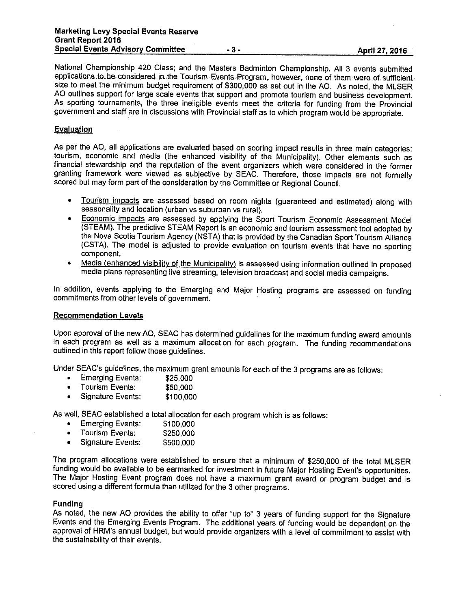National Championship <sup>420</sup> Class; and the Masters Badminton Championship. All <sup>3</sup> events submitted applications to be considered in the Tourism Events Program, however, none of them were of sufficient size to meet the minimum budget requirement of \$300,000 as set out in the AO. As noted, the MLSER AO outlines support for large scale events that support and promote tourism and business development. As sporting tournaments, the three ineligible events meet the criteria for funding from the Provincial government and staff are in discussions with Provincial staff as to which program would be appropriate.

### Evaluation

As per the AO, all applications are evaluated based on scoring impact results in three main categories: tourism, economic and media (the enhanced visibility of the Municipality). Other elements such as financial stewardship and the reputation of the event organizers which were considered in the former granting framework were viewed as subjective by SEAC. Therefore, those impacts are not formally scored but may form part of the consideration by the Committee or Regional Council.

- • Tourism impacts are assessed based on room nights (guaranteed and estimated) along with seasonality and location (urban vs suburban vs rural).
- • Economic impacts are assessed by applying the Sport Tourism Economic Assessment Model (STEAM). The predictive STEAM Report is an economic and tourism assessment tool adopted by the Nova Scotia Tourism Agency (NSTA) that is provided by the Canadian Sport Tourism Alliance (CSTA). The model is adjusted to provide evaluation on tourism events that have no sporting component.
- • Media (enhanced visibility of the Municipality) is assessed using information outlined in proposed media <sup>p</sup>lans representing live streaming, television broadcast and social media campaigns.

In addition, events applying to the Emerging and Major Hosting programs are assessed on funding commitments from other levels of government.

## Recommendation Levels

Upon approval of the new AO, SEAC has determined guidelines for the maximum funding award amounts in each program as well as <sup>a</sup> maximum allocation for each program. The funding recommendations outlined in this report follow those guidelines.

Under SEAC's guidelines, the maximum grant amounts for each of the 3 programs are as follows:<br>• Emerging Events: \$25,000

- •Emerging Events:
- •Tourism Events: \$50,000
- •Signature Events: \$100,000

As well, SEAC established <sup>a</sup> total allocation for each program which is as follows:

- •Emerging Events: \$100,000
- •Tourism Events: \$250,000
- •Signature Events: \$500,000

The program allocations were established to ensure that <sup>a</sup> minimum of \$250,000 of the total MLSER funding would be available to be earmarked for investment in future Major Hosting Event's opportunities. The Major Hosting Event program does not have <sup>a</sup> maximum grant award or program budget and is scored using <sup>a</sup> different formula than utilized for the <sup>3</sup> other programs.

#### Funding

As noted, the new AO provides the ability to offer "up to" 3 years of funding support for the Signature Events and the Emerging Events Program. The additional years of funding would be dependent on the approval of HRM's annual budget, but would provide organizers with <sup>a</sup> level of commitment to assist with the sustainability of their events.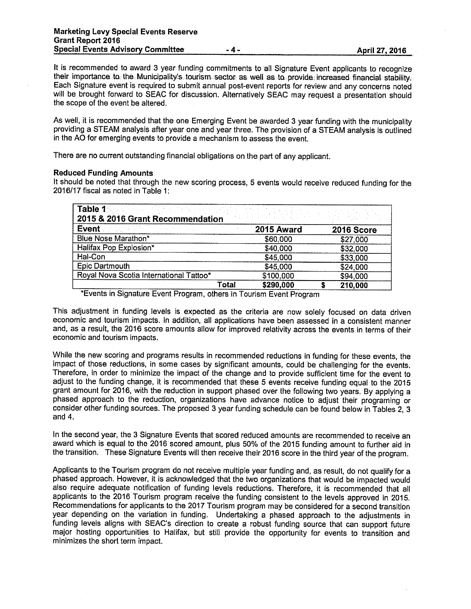It is recommended to award 3 year funding commitments to all Signature Event applicants to recognize their importance to the Municipality's tourism sector as well as to provide increased financial stability. Each Signature event is required to submit annual post-event reports for review and any concerns noted will be brought forward to SEAC for discussion. Alternatively SEAC may request <sup>a</sup> presentation should the scope of the event be altered.

As well, it is recommended that the one Emerging Event be awarded <sup>3</sup> year funding with the municipality providing <sup>a</sup> STEAM analysis after year one and year three. The provision of <sup>a</sup> STEAM analysis is outlined in the AO for emerging events to provide <sup>a</sup> mechanism to assess the event.

There are no current outstanding financial obligations on the par<sup>t</sup> of any applicant.

#### Reduced Funding Amounts

It should be noted that through the new scoring process, <sup>5</sup> events would receive reduced funding for the 2016/17 fiscal as noted in Table 1:

| Table 1% of expect $\{\{1,2,3,4\},\{1,3,4\}\}$<br>2015 & 2016 Grant Recommendation |                    |            |
|------------------------------------------------------------------------------------|--------------------|------------|
| Event <b>Manufacturer</b><br>and the state of the state of the state               | 2015 Award         | 2016 Score |
| Blue Nose Marathon*                                                                | \$60,000           | \$27,000   |
| Halifax Pop Explosion*                                                             | \$40,000           | \$32,000   |
| Hal-Con                                                                            | \$45,000           | \$33,000   |
| Epic Dartmouth                                                                     | \$45,000           | \$24,000   |
| Royal Nova Scotia International Tattoo*                                            | \$100,000          | \$94,000   |
|                                                                                    | \$290,000<br>Total | 210,000    |

Events in Signature Event Program, others in Tourism Event Program

This adjustment in funding levels is expected as the criteria are now solely focused on data driven economic and tourism impacts. In addition, all applications have been assessed in <sup>a</sup> consistent manner and, as <sup>a</sup> result, the 2016 score amounts allow for improved relativity across the events in terms of their economic and tourism impacts.

While the new scoring and programs results in recommended reductions in funding for these events, the impact of those reductions, in some cases by significant amounts, could be challenging for the events. Therefore, in order to minimize the impact of the change and to provide sufficient time for the event to adjust to the funding change, it is recommended that these <sup>5</sup> events receive funding equal to the <sup>2015</sup> grant amount for 2016, with the reduction in support <sup>p</sup>hased over the following two years. By applying <sup>a</sup> <sup>p</sup>hased approach to the reduction, organizations have advance notice to adjust their programing or consider other funding sources. The proposed <sup>3</sup> year funding schedule can be found below in Tables 2, <sup>3</sup> and 4.

In the second year, the 3 Signature Events that scored reduced amounts are recommended to receive an award which is equal to the 2016 scored amount, plus 50% of the 2015 funding amount to further aid in the transition. These Signature Events will then receive their <sup>2016</sup> score in the third year of the program.

Applicants to the Tourism program do not receive multiple year funding and, as result, do not qualify for <sup>a</sup> <sup>p</sup>hased approach. However, it is acknowledged that the two organizations that would be impacted would also require adequate notification of funding levels reductions. Therefore, it is recommended that all applicants to the <sup>2016</sup> Tourism program receive the funding consistent to the levels approved in 2015. Recommendations for applicants to the 2017 Tourism program may be considered for <sup>a</sup> second transition year depending on the variation in funding. Undertaking <sup>a</sup> <sup>p</sup>hased approach to the adjustments in funding levels aligns with SEAC's direction to create <sup>a</sup> robust funding source that can support future major hosting opportunities to Halifax, but still provide the opportunity for events to transition and minimizes the short term impact.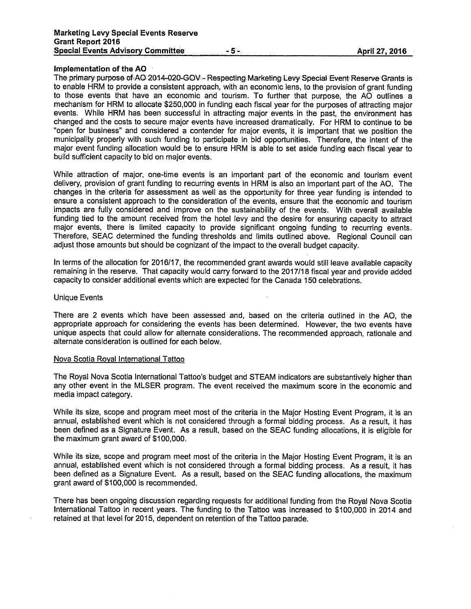#### Implementation of the AO

The primary purpose of AO 2014-020-GOV - Respecting Marketing Levy Special Event Reserve Grants is to enable HRM to provide a consistent approach, with an economic lens, to the provision of grant funding to those events that have an economic and tourism. To further that purpose, the AC outlines a mechanism for HRM to allocate \$250,000 in funding each fiscal year for the purposes of attracting major events. While HRM has been successful in attracting major events in the past, the environment has changed and the costs to secure major events have increased dramatically. For HRM to continue to be "open for business" and considered a contender for major events, it is important that we position the municipality properly with such funding to participate in bid opportunities. Therefore, the intent of the major event funding allocation would be to ensure HRM is able to set aside funding each fiscal year to build sufficient capacity to bid on major events.

While attraction of major, one-time events is an important part of the economic and tourism event delivery, provision of grant funding to recurring events in HRM is also an important part of the AO. The changes in the criteria for assessment as well as the opportunity for three year funding is intended to ensure a consistent approach to the consideration of the events, ensure that the economic and tourism impacts are fully considered and improve on the sustainability of the events. With overall available funding tied to the amount received from the hotel levy and the desire for ensuring capacity to attract major events, there is limited capacity to provide significant ongoing funding to recurring events. Therefore, SEAC determined the funding thresholds and limits outlined above. Regional Council can adjust those amounts but should be cognizant of the impact to the overall budget capacity.

In terms of the allocation for 2016/17, the recommended grant awards would still leave available capacity remaining in the reserve. That capacity would carry forward to the 2017/18 fiscal year and provide added capacity to consider additional events which are expected for the Canada 150 celebrations.

#### Unique Events

There are <sup>2</sup> events which have been assessed and, based on the criteria outlined in the AC, the appropriate approach for considering the events has been determined. However, the two events have unique aspects that could allow for alternate considerations. The recommended approach, rationale and alternate consideration is outlined for each below.

#### Nova Scotia Royal International Tattoo

The Royal Nova Scotia International Tattoo's budget and STEAM indicators are substantively higher than any other event in the MLSER program. The event received the maximum score in the economic and media impact category.

While its size, scope and program meet most of the criteria in the Major Hosting Event Program, it is an annual, established event which is not considered through a formal bidding process. As a result, it has been defined as a Signature Event. As a result, based on the SEAC funding allocations, it is eligible for the maximum grant award of \$100,000.

While its size, scope and program meet most of the criteria in the Major Hosting Event Program, it is an annual, established event which is not considered through a formal bidding process. As a result, it has been defined as a Signature Event. As a result, based on the SEAC funding allocations, the maximum grant award of \$100,000 is recommended.

There has been ongoing discussion regarding requests for additional funding from the Royal Nova Scotia International Tattoo in recent years. The funding to the Tattoo was increased to \$100,000 in 2014 and retained at that level for 2015, dependent on retention of the Tattoo parade.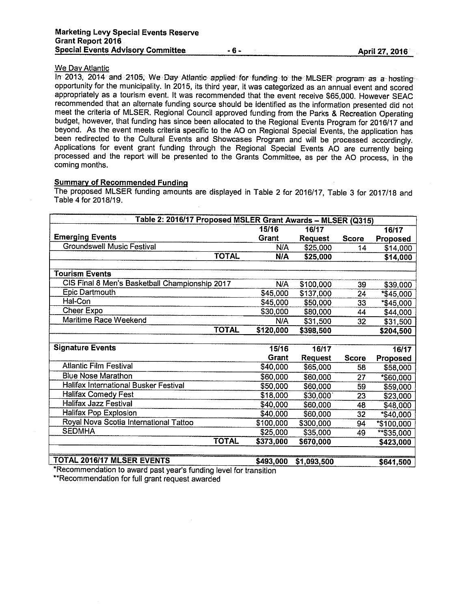# **We Day Atlantic**

In 2013, 2014 and 2105, We Day Atlantic applied for funding to the MLSER program as a hosting opportunity for the municipality. In 2015, its third year, it was categorized as an annual event and scored appropriately as <sup>a</sup> tourism event. It was recommended that the event receive \$65,000. However SEAC recommended that an alternate funding source should be identified as the information presented did not meet the criteria of MLSER. Regional Council approved funding from the Parks & Recreation Operating budget, however, that funding has since been allocated to the Regional Events Program for 2016/17 and beyond. As the event meets criteria specific to the AO on Regional Special Events, the application has been redirected to the Cultural Events and Showcases Program and will be processed accordingly. Applications for event grant funding through the Regional Special Events AO are currently being processed and the report will be presented to the Grants Committee, as per the AO process, in the coming months.

#### Summary of Recommended Funding

The proposed MLSER funding amounts are displayed in Table 2 for 2016/17, Table 3 for 2017/18 and Table 4 for 2018/19.

| Table 2: 2016/17 Proposed MSLER Grant Awards - MLSER (Q315) |            |                |              |            |
|-------------------------------------------------------------|------------|----------------|--------------|------------|
|                                                             | 15/16      | 16/17          |              | 16/17      |
| <b>Emerging Events</b>                                      | Grant      | <b>Request</b> | <b>Score</b> | Proposed   |
| <b>Groundswell Music Festival</b>                           | N/A        | \$25,000       | 14           | \$14,000   |
| <b>TOTAL</b>                                                | <b>N/A</b> | \$25,000       |              | \$14,000   |
|                                                             |            |                |              |            |
| <b>Tourism Events</b>                                       |            |                |              |            |
| CIS Final 8 Men's Basketball Championship 2017              | N/A        | \$100,000      | 39           | \$39,000   |
| <b>Epic Dartmouth</b>                                       | \$45,000   | \$137,000      | 24           | *\$45,000  |
| Hal-Con                                                     | \$45,000   | \$50,000       | 33           | *\$45,000  |
| Cheer Expo                                                  | \$30,000   | \$80,000       | 44           | \$44,000   |
| Maritime Race Weekend                                       | N/A        | \$31,500       | 32           | \$31,500   |
| <b>TOTAL</b>                                                | \$120,000  | \$398,500      |              | \$204,500  |
|                                                             |            |                |              |            |
| <b>Signature Events</b>                                     | 15/16      | 16/17          |              | 16/17      |
|                                                             | Grant      | <b>Request</b> | <b>Score</b> | Proposed   |
| <b>Atlantic Film Festival</b>                               | \$40,000   | \$65,000       | 58           | \$58,000   |
| <b>Blue Nose Marathon</b>                                   | \$60,000   | \$60,000       | 27           | *\$60,000  |
| Halifax International Busker Festival                       | \$50,000   | \$60,000       | 59           | \$59,000   |
| <b>Halifax Comedy Fest</b>                                  | \$18,000   | \$30,000       | 23           | \$23,000   |
| <b>Halifax Jazz Festival</b>                                | \$40,000   | \$60,000       | 48           | \$48,000   |
| Halifax Pop Explosion                                       | \$40,000   | \$60,000       | 32           | *\$40,000  |
| Royal Nova Scotia International Tattoo                      | \$100,000  | \$300,000      | 94           | *\$100,000 |
| <b>SEDMHA</b>                                               | \$25,000   | \$35,000       | 49           | **\$35,000 |
| <b>TOTAL</b>                                                | \$373,000  | \$670,000      |              | \$423,000  |
|                                                             |            |                |              |            |
| <b>TOTAL 2016/17 MLSER EVENTS</b>                           | \$493,000  | \$1,093,500    |              | \$641,500  |

\*Recommendation to award past year's funding level for transition \*\*Recommendation for full grant request awarded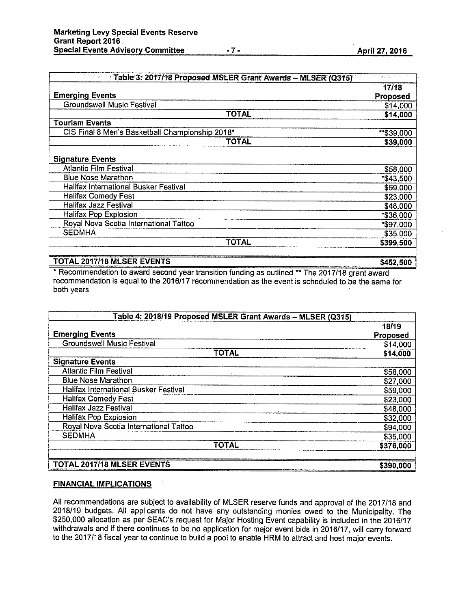|  | <b>April 27, 2016</b> |  |
|--|-----------------------|--|
|  |                       |  |

| <b>Example 1: 2017/18 Proposed MSLER Grant Awards - MLSER (Q315)</b> |                 |  |
|----------------------------------------------------------------------|-----------------|--|
|                                                                      | 17/18           |  |
| <b>Emerging Events</b>                                               | <b>Proposed</b> |  |
| <b>Groundswell Music Festival</b>                                    | \$14,000        |  |
| TOTAL                                                                | \$14,000        |  |
| <b>Tourism Events</b>                                                |                 |  |
| CIS Final 8 Men's Basketball Championship 2018*                      | $**$ \$39,000   |  |
| TOTAL                                                                | \$39,000        |  |
| <b>Signature Events</b>                                              |                 |  |
| <b>Atlantic Film Festival</b>                                        | \$58,000        |  |
| <b>Blue Nose Marathon</b>                                            | *\$43,500       |  |
| Halifax International Busker Festival                                | \$59,000        |  |
| <b>Halifax Comedy Fest</b>                                           | \$23,000        |  |
| Halifax Jazz Festival                                                | \$48,000        |  |
| Halifax Pop Explosion                                                | *\$36,000       |  |
| Royal Nova Scotia International Tattoo                               | *\$97,000       |  |
| <b>SEDMHA</b>                                                        | \$35,000        |  |
| TOTAL                                                                | \$399,500       |  |
| <b>TOTAL 2017/18 MLSER EVENTS</b>                                    | \$452,500       |  |

\* Recommendation to award second year transition funding as outlined \*\* The 2017/18 grant award recommendation is equal to the 2016/17 recommendation as the event is scheduled to be the same for both years

| Table 4: 2018/19 Proposed MSLER Grant Awards - MLSER (Q315) |           |
|-------------------------------------------------------------|-----------|
|                                                             | 18/19     |
| <b>Emerging Events</b>                                      | Proposed  |
| <b>Groundswell Music Festival</b>                           | \$14,000  |
| <b>TOTAL</b>                                                | \$14,000  |
| <b>Signature Events</b>                                     |           |
| <b>Atlantic Film Festival</b>                               | \$58,000  |
| <b>Blue Nose Marathon</b>                                   | \$27,000  |
| Halifax International Busker Festival                       | \$59,000  |
| <b>Halifax Comedy Fest</b>                                  | \$23,000  |
| <b>Halifax Jazz Festival</b>                                | \$48,000  |
| <b>Halifax Pop Explosion</b>                                | \$32,000  |
| Royal Nova Scotia International Tattoo                      | \$94,000  |
| <b>SEDMHA</b>                                               | \$35,000  |
| <b>TOTAL</b>                                                | \$376,000 |
|                                                             |           |
| TOTAL 2017/18 MLSER EVENTS                                  | \$390,000 |

# FINANCIAL IMPLICATIONS

All recommendations are subject to availability of MLSER reserve funds and approval of the 2017/18 and 2018/19 budgets. All applicants do not have any outstanding monies owed to the Municipality. The \$250,000 allocation as per SEAC's request for Major Hosting Event capability is included in the 2016/17 withdrawals and if there continues to be no application for major event bids in 2016/17, will carry forward to the 2017/18 fiscal year to continue to build a pool to enable HRM to attract and host major events.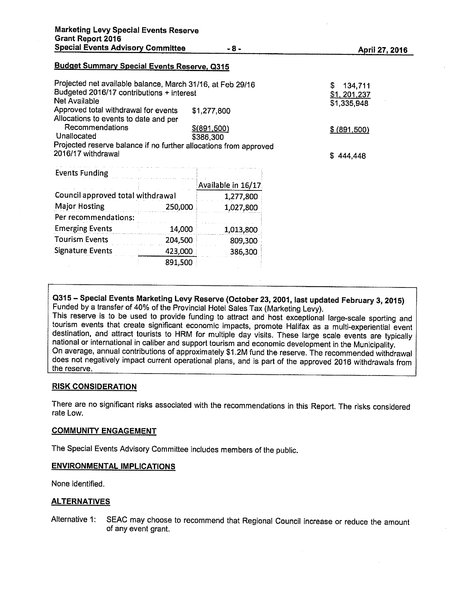#### Budget Summary Special Events Reserve, 0315

| Projected net available balance, March 31/16, at Feb 29/16<br>Budgeted 2016/17 contributions + interest<br>Net Available |                    | 134,711<br>S<br>\$1, 201, 237 |
|--------------------------------------------------------------------------------------------------------------------------|--------------------|-------------------------------|
| Approved total withdrawal for events                                                                                     | \$1,277,800        | \$1,335,948                   |
| Allocations to events to date and per                                                                                    |                    |                               |
| Recommendations                                                                                                          | \$(891,500)        | \$ (891,500)                  |
| Unallocated                                                                                                              | \$386,300          |                               |
| Projected reserve balance if no further allocations from approved                                                        |                    |                               |
| 2016/17 withdrawal                                                                                                       |                    | \$444.448                     |
| <b>Events Funding</b>                                                                                                    |                    |                               |
|                                                                                                                          | Available in 16/17 |                               |
| Council approved total withdrawal                                                                                        | 1,277,800          |                               |

| Council approved total withdrawal | 1,277,800 |           |
|-----------------------------------|-----------|-----------|
| <b>Major Hosting</b><br>250,000   |           | 1,027,800 |
| Per recommendations:              |           |           |
| <b>Emerging Events</b>            | 14,000    | 1,013,800 |
| <b>Tourism Events</b>             | 204,500   | 809,300   |
| <b>Signature Events</b>           | 423,000   | 386,300   |
|                                   | 891,500   |           |

<sup>0315</sup> — Special Events Marketing Levy Reserve (October 23, 2001, last updated February 3, 2015) Funded by <sup>a</sup> transfer of 40% of the Provincial Hotel Sales Tax (Marketing Levy).

This reserve is to be used to provide funding to attract and host exceptional large-scale sporting and tourism events that create significant economic impacts, promote Halifax as <sup>a</sup> multi-experiential event destination, and attract tourists to HRM for multiple day visits. These large scale events are typically national or international in caliber and support tourism and economic development in the Municipality. On average, annual contributions of approximately \$1 .2M fund the reserve. The recommended withdrawal does not negatively impact current operational <sup>p</sup>lans, and is part of the approved <sup>2016</sup> withdrawals from the reserve.

#### RISK CONSIDERATION

There are no significant risks associated with the recommendations in this Report. The risks considered rate Low.

#### COMMUNITY ENGAGEMENT

The Special Events Advisory Committee includes members of the public.

#### ENVIRONMENTAL IMPLICATIONS

None identified.

#### ALTERNATIVES

Alternative 1: SEAC may choose to recommend that Regional Council increase or reduce the amount of any event grant.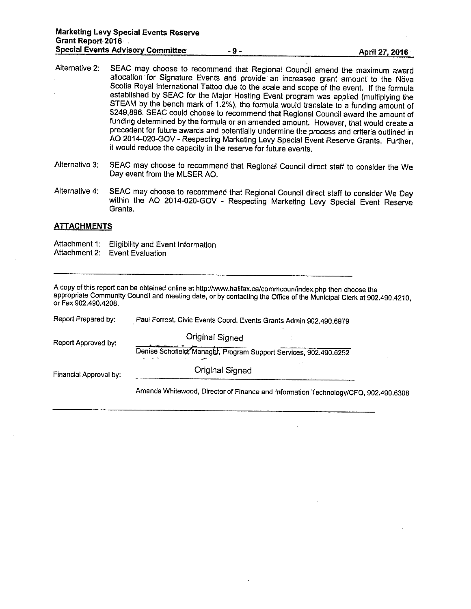- Alternative 2: SEAC may choose to recommend that Regional Council amend the maximum award allocation for Signature Events and provide an increased grant amount to the Nova Scotia Royal International Tattoo due to the scale and scope of the event. If the formula established by SEAC for the Major Hosting Event program was applied (multiplying the STEAM by the bench mark of 1.2%). the formula would translate to <sup>a</sup> funding amount of \$249,896. SEAC could choose to recommend that Regional Council award the amount of funding determined by the formula or an amended amount. However, that would create <sup>a</sup> precedent for future awards and potentially undermine the process and criteria outlined in AO 2014-020-GOV -Respecting Marketing Levy Special Event Reserve Grants. Further, it would reduce the capacity in the reserve for future events.
- Alternative 3: SEAC may choose to recommend that Regional Council direct staff to consider the We Day event from the MLSER AO.
- Alternative 4: SEAC may choose to recommend that Regional Council direct staff to consider We Day within the AO 2014-020-GOV - Respecting Marketing Levy Special Event Reserve Grants.

#### **ATTACHMENTS**

Attachment 1: Eligibility and Event Information Attachment 2: Event Evaluation

| A copy of this report can be obtained online at http://www.halifax.ca/commcoun/index.php then choose the                                    |  |
|---------------------------------------------------------------------------------------------------------------------------------------------|--|
| appropriate Community Council and meeting date, or by contacting the Office of the Municipal Clerk at 902.490.4210,<br>or Fax 902.490.4208. |  |

| Report Prepared by:    | Paul Forrest, Civic Events Coord. Events Grants Admin 902.490.6979                 |
|------------------------|------------------------------------------------------------------------------------|
| Report Approved by:    | Original Signed                                                                    |
|                        | Denise Schofield, Manager, Program Support Services, 902.490.6252                  |
| Financial Approval by: | <b>Original Signed</b>                                                             |
|                        | Amanda Whitewood, Director of Finance and Information Technology/CFO, 902.490.6308 |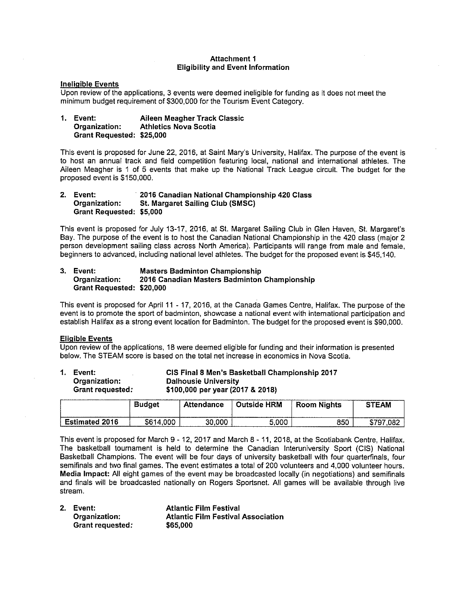#### Attachment I Eligibility and Event Information

#### Ineligible Events

Upon review of the applications, 3 events were deemed ineligible for funding as it does not meet the minimum budget requirement of \$300,000 for the Tourism Event Category.

1. Event: Aileen Meagher Track Classic<br>Organization: Athletics Nova Scotia **Athletics Nova Scotia** Grant Requested: \$25,000

This event is proposed for June 22, 2016, at Saint Mary's University, Halifax. The purpose of the event is to host an annual track and field competition featuring local, national and international athletes. The Aileen Meagher is <sup>1</sup> of 5 events that make up the National Track League circuit. The budget for the proposed event is \$150,000.

2. Event: 2016 Canadian National Championship 420 Class<br>
Organization: St. Margaret Sailing Club (SMSC) St. Margaret Sailing Club (SMSC) Grant Requested: \$5,000

This event is proposed for July 13-17, 2016, at St. Margaret Sailing Club in Glen Haven, St. Margaret's Bay. The purpose of the event is to host the Canadian National Championship in the 420 class (major 2 person development sailing class across North America). Participants will range from male and female, beginners to advanced, including national level athletes. The budget for the proposed event is \$45,140.

#### 3. Event: Masters Badminton Championship 2016 Canadian Masters Badminton Championship Grant Requested: \$20,000

This event is proposed for April <sup>11</sup> -17, 2016, at the Canada Games Centre, Halifax. The purpose of the event is to promote the sport of badminton, showcase a national event with international participation and establish Halifax as a strong event location for Badminton. The budget for the proposed event is \$90,000.

#### Eligible Events

Upon review of the applications, 18 were deemed eligible for funding and their information is presented below. The STEAM score is based on the total net increase in economics in Nova Scotia.

| Event:<br>Organization:<br>Grant requested: |               | <b>Dalhousie University</b><br>\$100,000 per year (2017 & 2018) |               | CIS Final 8 Men's Basketball Championship 2017 |              |
|---------------------------------------------|---------------|-----------------------------------------------------------------|---------------|------------------------------------------------|--------------|
|                                             | <b>Budget</b> | Attendance                                                      | ∣ Outside HRM | <b>Room Nights</b>                             | <b>STEAM</b> |

This event is proposed for March 9 - 12, 2017 and March 8 - 11, 2018, at the Scotiabank Centre, Halifax. The basketball tournament is held to determine the Canadian Intemniversity Sport (CIS) National Basketball Champions. The event will be four days of university basketball with four quarterfinals, four semifinals and two final games. The event estimates a total of 200 volunteers and 4,000 volunteer hours. Media Impact: All eight games of the event may be broadcasted locally (in negotiations) and semifinals and finals will be broadcasted nationally on Rogers Sportsnet. All games will be available through live stream.

**Estimated 2016 | \$614,000 | 30,000 | 5,000 | 850 | \$797,082** 

| 2. Event:        | <b>Atlantic Film Festival</b>             |
|------------------|-------------------------------------------|
| Organization:    | <b>Atlantic Film Festival Association</b> |
| Grant requested: | \$65,000                                  |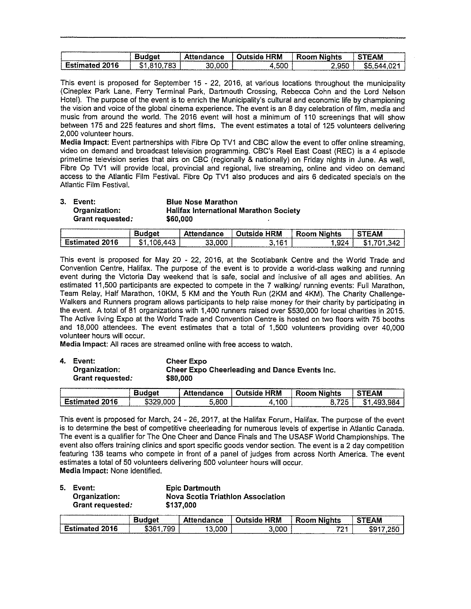|                        |                   |                                                          |                         |             | -------      |
|------------------------|-------------------|----------------------------------------------------------|-------------------------|-------------|--------------|
|                        |                   | √ttendance<br>----------------<br><b>TAXABLE INCOME.</b> | <b>HRM</b><br>ahistiri( | .<br>.      | <b>STEAM</b> |
| -2016<br>60F<br>------ | フロウ<br>- 13<br>o. | .000<br>30.                                              | ,500                    | ___<br>۔950 | D.           |

This event is proposed for September 15 - 22, 2016, at various locations throughout the municipality (Cineplex Park Lane, Ferry Terminal Park, Dartmouth Crossing, Rebecca Cohn and the Lord Nelson Hotel). The purpose of the event is to enrich the Municipality's cultural and economic life by championing the vision and voice of the global cinema experience. The event is an 8 day celebration of film, media and music from around the world. The 2016 event will host a minimum of 110 screenings that will show between 175 and 225 features and short films. The event estimates a total of 125 volunteers delivering 2,000 volunteer hours.

Media Impact: Event partnerships with Fibre Op TVI and CBC allow the event to offer online streaming, video on demand and broadcast television programming. CBC's Reel East Coast (REC) is a 4 episode primetime television series that airs on CBC (regionally & nationally) on Friday nights in June. As well, Fibre Op TV1 will provide local, provincial and regional, live streaming, online and video on demand access to the Atlantic Film Festival. Fibre Op TV1 also produces and airs 6 dedicated specials on the Atlantic Film Festival.

| 3. Event:        | <b>Blue Nose Marathon</b>                     |
|------------------|-----------------------------------------------|
| Organization:    | <b>Halifax International Marathon Society</b> |
| Grant requested: | \$60,000                                      |

|    | ____________ | ance<br>_______ | <b>HRM</b><br>Outside | ants                                         | <b>TEAM</b>            |
|----|--------------|-----------------|-----------------------|----------------------------------------------|------------------------|
| 16 | ! 11 -       | 33,000          | ıе.<br>u              | nn.<br>- - - -<br>. .<br>.<br>______<br>____ | $\mathcal{A}^{\prime}$ |

This event is proposed for May 20 - 22, 2016, at the Scotiabank Centre and the World Trade and Convention Centre, Halifax, The purpose of the event is to provide a world-class walking and running event during the Victoria Day weekend that is safe, social and inclusive of all ages and abilities. An estimated 11,500 participants are expected to compete in the 7 walking/ running events: Full Marathon, Team Relay, Half Marathon, 10KM, 5 KM and the Youth Run (2KM and 4KM). The Charity Challenge-Walkers and Runners program allows participants to help raise money for their charity by participating in the event. A total of 81 organizations with 1,400 runners raised over \$530,000 for local charities in 2015. The Active living Expo at the World Trade and Convention Centre is hosted on two floors with 75 booths and 18,000 attendees. The event estimates that a total of 1,500 volunteers providing over 40,000 volunteer hours will occur.

Media Impact: All races are streamed online with free access to watch.

4. Event: Cheer Expo

Organization: Cheer Expo Cheerleading and Dance Events Inc. Grant requested: \$80,000

| <b><i>SERVICE CONTROLLERS</i></b>                                   | taet | ance<br>----- | HRM<br>.<br>næ | -------<br>.<br>nnm<br>INTS | The construction of the account of<br><b>EAM</b> |
|---------------------------------------------------------------------|------|---------------|----------------|-----------------------------|--------------------------------------------------|
| ነበ 1 ቤ<br>-211<br>$-1$<br>.<br><b>PERSONAL PROPERTY AND INCOME.</b> |      | .800          | :00            | フワロ<br>                     | QR.<br>٠п                                        |

This event is proposed for March, 24 -26, 2017, at the Halifax Forum, Halifax. The purpose of the event is to determine the best of competitive cheerleading for numerous levels of expertise in Atlantic Canada. The event is a qualifier for The One Cheer and Dance Finals and The USASF World Championships. The event also offers training clinics and sport specific goods vendor section. The event is a 2 day competition featuring 138 teams who compete in front of a panel of judges from across North America. The event estimates a total of 50 volunteers delivering 500 volunteer hours will occur. Media Impact: None identified.

| 5. Event:        | <b>Epic Dartmouth</b>             |
|------------------|-----------------------------------|
| Organization:    | Nova Scotia Triathlon Association |
| Grant requested: | \$137,000                         |

|                        | معداره ومحدودهم بالمتلاقات والمحدوث والرابيا البارين المستورات والمسترين والمتراكب التقيير التاريخ والمترافقية | _____________<br>Attendance | <b>HRM</b> | .<br>Nights<br>Room<br>_____ | <b>FEAM</b>      |
|------------------------|----------------------------------------------------------------------------------------------------------------|-----------------------------|------------|------------------------------|------------------|
| 2016<br>-<br>Estimated | 799<br>- \$36 °                                                                                                | .00C                        | 3.000      | ラウオ<br>. .<br>---            | <b>OFF</b><br>ъ÷ |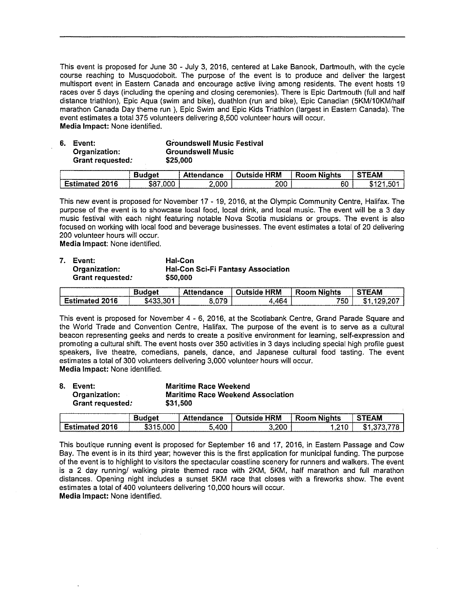This event is proposed for June 30 - July 3, 2016, centered at Lake Banook, Dartmouth, with the cycle course reaching to Musquodoboit. The purpose of the event is to produce and deliver the largest multisport event in Eastern Canada and encourage active living among residents, The event hosts 19 races over 5 days (including the opening and closing ceremonies). There is Epic Dartmouth (full and half distance triathlon), Epic Aqua (swim and bike), duathlon (run and bike), Epic Canadian (5KM/1OKM/half marathon Canada Day theme run ), Epic Swim and Epic Kids Triathlon (largest in Eastern Canada). The event estimates a total 375 volunteers delivering 8,500 volunteer hours will occur. Media Impact: None identified.

| 6. Event:        | <b>Groundswell Music Festival</b> |
|------------------|-----------------------------------|
| Organization:    | <b>Groundswell Music</b>          |
| Grant requested: | \$25.000                          |

|                                                   | റല  | ance       | HRM | .<br>Nights | ----------<br>EAM                 |
|---------------------------------------------------|-----|------------|-----|-------------|-----------------------------------|
| -<br>2016<br>ecnos<br>.<br>---------------------- | 000 | nnr<br>--- | 200 | 60          | ---------<br>м<br>٠Đ<br>--------- |

This new event is proposed for November 17- 19, 2016, at the Olympic Community Centre, Halifax. The purpose of the event is to showcase local food, local drink, and local music. The event will be a 3 day music festival with each night featuring notable Nova Scotia musicians or groups. The event is also focused on working with local food and beverage businesses. The event estimates a total of 20 delivering 200 volunteer hours will occur.

Media Impact: None identified.

| 7. Event:        | Hal-Con               |
|------------------|-----------------------|
| Organization:    | <b>Hal-Con Sci-Fi</b> |
| Grant requested: | \$50,000              |

|               | 4444445567547575757575575 | INCA                                           | HRM<br>nteiria. | .<br>-----<br>ahts | ____<br><b>STEAM</b>             |
|---------------|---------------------------|------------------------------------------------|-----------------|--------------------|----------------------------------|
| 16<br>--<br>. | 301                       | -070<br>The property and property and property | 464             | ---<br>ЪU          | 207<br>۰Ω<br>------------------- |

**Fantasy Association** 

This event is proposed for November 4 - 6, 2016, at the Scotiabank Centre, Grand Parade Square and the World Trade and Convention Centre, Halifax. The purpose of the event is to serve as a cultural beacon representing geeks and nerds to create a positive environment for learning, self-expression and promoting a cultural shift, The event hosts over 350 activities in 3 days including special high profile guest speakers, live theatre, comedians, panels, dance, and Japanese cultural food tasting. The event estimates a total of 300 volunteers delivering 3,000 volunteer hours will occur. Media Impact: None identified.

| 8. Event:        | <b>Maritime Race Weekend</b>             |
|------------------|------------------------------------------|
| Organization:    | <b>Maritime Race Weekend Association</b> |
| Grant requested: | \$31.500                                 |

| .                  |                | --- | .<br>нкм<br>a a material | 'hts                                     | <b>STEAM</b> |
|--------------------|----------------|-----|--------------------------|------------------------------------------|--------------|
| 16<br>------------ | w.<br>________ | 400 | 200,                     | 210 .<br><br>___________________________ | m<br>æ       |

This boutique running event is proposed for September 16 and 17, 2016, in Eastern Passage and Cow Bay. The event is in its third year; however this is the first application for municipal funding. The purpose of the event is to highlight to visitors the spectacular coastline scenery for runners and walkers. The event is a 2 day running/ walking pirate themed race with 2KM, 5KM, half marathon and full marathon distances. Opening night includes a sunset 5KM race that closes with a fireworks show. The event estimates a total of 400 volunteers delivering 10,000 hours will occur. Media Impact: None identified.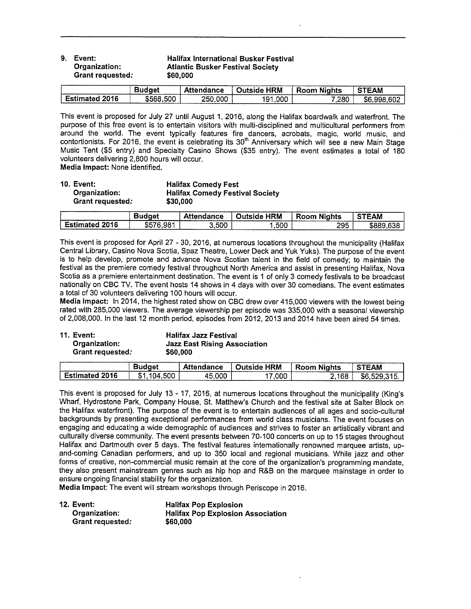| 9. Event:<br>Organization:<br>Grant requested: | <b>Halifax International Busker Festival</b><br><b>Atlantic Busker Festival Society</b><br>\$60,000 |
|------------------------------------------------|-----------------------------------------------------------------------------------------------------|
|                                                |                                                                                                     |

|                   | udae'                | ttendance   | <b>HRM</b><br>abıztırC | .<br>Room<br>Niahts | _____<br><b>STEAM</b> |
|-------------------|----------------------|-------------|------------------------|---------------------|-----------------------|
| 2016<br>Estimated | 500<br>.n.nne<br>$-$ | .000<br>250 | ,000<br>191            | 7.280               | .602<br>aas<br>æп     |

This event is proposed for July27 until August 1,2016, along the Halifax boardwalk and waterfront. The purpose of this free event is to entertain visitors with multi-disciplined and multicultural performers from around the world. The event typically features fire dancers, acrobats, magic, world music, and contortionists. For 2016, the event is celebrating its 30°' Anniversary which will see a new Main Stage Music Tent (\$5 entry) and Specialty Casino Shows (\$35 entry). The event estimates a total of 180 volunteers delivering 2,800 hours will occur.

Media Impact: None identified.

| <b>10. Event:</b> | <b>Halifax Comedy Fest</b>             |
|-------------------|----------------------------------------|
| Organization:     | <b>Halifax Comedy Festival Society</b> |
| Grant requested:  | \$30,000                               |

| ______        | The continuum continuum continuum continuum continuum continuum continuum continuum continuum continuum continuum continuum continuum continuum continuum continuum continuum continuum continuum continuum continuum continuu | ______<br>once of the set of the set of the set of the set of the set of the set of the set of the set of the set of the<br>. | (M<br>- 70 | .<br>Room<br>Nights | <b>TEAM</b><br>--------------------------------- |
|---------------|--------------------------------------------------------------------------------------------------------------------------------------------------------------------------------------------------------------------------------|-------------------------------------------------------------------------------------------------------------------------------|------------|---------------------|--------------------------------------------------|
| 16<br>_______ | 981                                                                                                                                                                                                                            | .500                                                                                                                          | .<br>ּ טעכ | 295                 |                                                  |

This event is proposed for April 27 -30, 2016, at numerous locations throughout the municipality (Halifax Central Library, Casino Nova Scotia, Spaz Theatre, Lower Deck and Yuk Vuks). The purpose of the event is to help develop, promote and advance Nova Scotian talent in the field of comedy; to maintain the festival as the premiere comedy festival throughout North America and assist in presenting Halifax, Nova Scotia as a premiere entertainment destination. The event is <sup>1</sup> of only <sup>3</sup> comedy festivals to be broadcast nationally on CBC TV. The event hosts 14 shows in 4 days with over 30 comedians. The event estimates a total of 30 volunteers delivering 100 hours will occur.

Media Impact: In 2014, the highest rated show on CBC drew over 415,000 viewers with the lowest being rated with 285,000 viewers. The average viewership per episode was 335,000 with a seasonal viewership of 2,008,000. In the last 12 month period, episodes from 2012, 2013 and 2014 have been aired 54 times.

Grant requested:

11. Event: Halifax Jan Festival Jazz East Rising Association<br>\$60,000

|                   | ra 1 | lance     | <b>HRM</b><br>1ute iri<br>.ına | .<br>--<br>Room<br>Nights | ΓΕΑΜ |
|-------------------|------|-----------|--------------------------------|---------------------------|------|
| 2016<br>Fstimated | 50C  | ΛF<br>ooc | ,000                           | 168                       | 56   |

This event is proposed for July 13 - 17, 2016, at numerous locations throughout the municipality (King's Wharf, Hydrostone Park, Company House, St. Matthew's Church and the festival site at Salter Block on the Halifax waterfront). The purpose of the event is to entertain audiences of all ages and socio-cultural backgrounds by presenting exceptional performances from world class musicians. The event focuses on engaging and educating a wide demographic of audiences and strives to foster an artistically vibrant and culturally diverse community. The event presents between 70-100 concerts on up to 15 stages throughout Halifax and Dartmouth over 5 days. The festival features internationally renowned marquee artists, upand-coming Canadian performers, and up to 350 local and regional musicians. While jazz and other forms of creative, non-commercial music remain at the core of the organization's programming mandate, they also present mainstream genres such as hip hop and R&B on the marquee mainstage in order to ensure ongoing financial stability for the organization.

Media Impact: The event will stream workshops through Periscope in 2016.

| 12. Event:       | <b>Halifax Pop Explosion</b>             |
|------------------|------------------------------------------|
| Organization:    | <b>Halifax Pop Explosion Association</b> |
| Grant requested: | \$60,000                                 |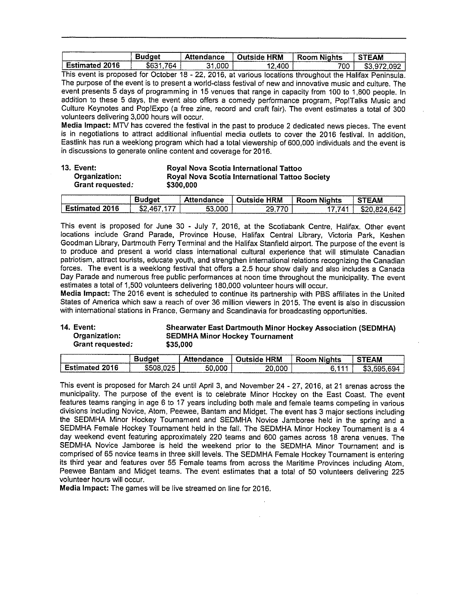| A MARINE DISTURBANCE CONTINUES IN THE                                      | ---               | Attendance | Outside HRM                                      | $\cdots$<br>Room Nights | TEAM                           |
|----------------------------------------------------------------------------|-------------------|------------|--------------------------------------------------|-------------------------|--------------------------------|
| $\sim$<br>Estimated 2016<br><b>Separate Committee Controller Committee</b> | --<br>'N4<br>س⊓ ⊽ | .000.      | .400<br>.<br>and stored the state states are the | 700                     | __________<br>m r<br>nar<br>ъ. |

This event is proposed for October 18 - 22, 2016, at various locations throughout the Halifax Peninsula. The purpose of the event is to present a world-class festival of new and innovative music and culture. The event presents 5 days of programming in 15 venues that range in capacity from 100 to 1,800 people. In addition to these <sup>5</sup> days, the event also offers a comedy performance program, Pop!Talks Music and Culture Keynotes and Pop!Expo (a free zine, record and craft fair). The event estimates a lotal of 300 volunteers delivering 3,000 hours will occur.

Media Impact: MTV has covered the festival in the past to produce 2 dedicated news pieces. The event is in negotiations to attract additional influential media outlets to cover the 2016 festival. In addition, Eastlink has run a weeklong program which had a total viewership of 600,000 individuals and the event is in discussions to generate online content and coverage for 2016,

| 13. Event:<br>Organization:<br>Grant requested: |               | Royal Nova Scotia International Tattoo<br>Royal Nova Scotia International Tattoo Society<br>\$300,000 |               |             |              |
|-------------------------------------------------|---------------|-------------------------------------------------------------------------------------------------------|---------------|-------------|--------------|
|                                                 | <b>Budget</b> | Attendance                                                                                            | ∐ Outside HRM | Room Nights | <b>STEAM</b> |

|                                 | laet                                    | Attendance        | <b>HRM</b><br>-Outside " | -<br>.<br><b>Room Nights</b> | <b>STEAM</b> |
|---------------------------------|-----------------------------------------|-------------------|--------------------------|------------------------------|--------------|
| $\sim$<br><b>Estimated 2016</b> | ---<br>$\Delta$ $\mathsf{R}^-$<br>- ወፌ. | 53.000<br>_______ | ---                      | 141                          | . RA'        |

This event is proposed for June 30 - July 7, 2016, at the Scotiabank Centre, Halifax. Other event locations include Grand Parade, Province House, Halifax Central Library, Victoria Park, Keshen Goodman Library, Dartmouth Ferry Terminal and the Halifax Stanfield airport. The purpose of the event is to produce and present a world class international cultural experience that will stimulate Canadian patriotism, attract tourists, educate youth, and strengthen international relations recognizing the Canadian forces. The event is a weeklong festival that offers a 2.5 hour show daily and also includes a Canada Day Parade and numerous free public performances at noon time throughout the municipality. The event estimates a total of 1,500 volunteers delivering 180,000 volunteer hours will occur.

Media Impact: The 2016 event is scheduled to continue its partnership with PBS affiliates in the United States of America which saw a reach of over 36 million viewers in 2015. The event is also in discussion with international stations in France, Germany and Scandinavia for broadcasting opportunities.

# 14. Event: Shearwater East Dartmouth Minor Hockey Association (SEDMHA)<br>Organization: SEDMHA Minor Hockey Tournament SEDMHA Minor Hockey Tournament Grant requested: \$35,000

| <b>The American Communication of the American Communication</b>                          | _________    | ance             | 1RM<br>----------- | .<br>1hts<br>,,,,,<br>------ | <b>STEAM</b>          |
|------------------------------------------------------------------------------------------|--------------|------------------|--------------------|------------------------------|-----------------------|
| -16<br>The property and and an entity of the contract of the contract of the contract of | $- -$<br>. . | .00C<br>--<br>จเ | ,000<br>הר         |                              | AQ.<br>.<br>л<br>____ |

This event is proposed for March 24 until April 3, and November 24 - 27, 2016, at 21 arenas across the municipality. The purpose of the event is to celebrate Minor Hockey on the East Coast. The event features teams ranging in age 6 to 17 years including both male and female teams competing in various divisions including Novice, Atom, Peewee, Bantam and Midget. The event has 3 major sections including the SEDMHA Minor Hockey Tournament and SEDMHA Novice Jamboree held in the spring and a SEDMHA Female Hockey Tournament held in the fall. The SEDMHA Minor Hockey Tournament is a 4 day weekend event featuring approximately 220 teams and 600 games across 18 arena venues. The SEDMHA Novice Jamboree is held the weekend prior to the SEDMHA Minor Tournament and is comprised of 65 novice teams in three skill levels. The SEDMHA Female Hockey Tournament is entering its third year and features over 55 Female teams from across the Maritime Provinces including Atom, Peewee Bantam and Midget teams. The event estimates that a total of 50 volunteers delivering 225 volunteer hours will occur.

Media Impact: The games will be live streamed on line for 2016.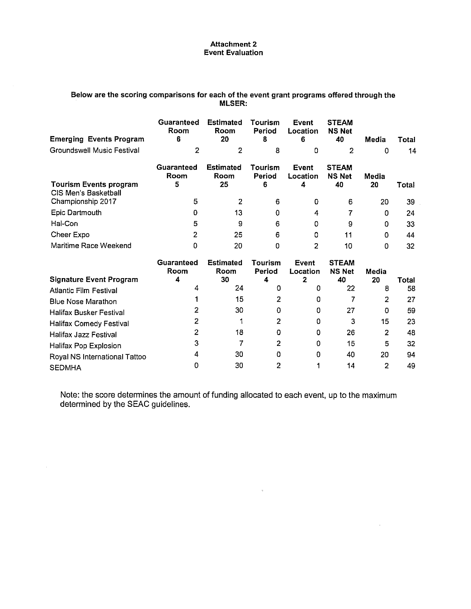#### Attachment 2 Event Evaluation

# Below are the scoring comparisons for each of the event grant programs offered through the MLSER:

| <b>Emerging Events Program</b>                   | Guaranteed<br>Room<br>6 | <b>Estimated</b><br>Room<br>20 | Tourism<br>Period<br>8 | <b>Event</b><br>Location<br>6 | <b>STEAM</b><br><b>NS Net</b><br>40 | Media       | Total |
|--------------------------------------------------|-------------------------|--------------------------------|------------------------|-------------------------------|-------------------------------------|-------------|-------|
| <b>Groundswell Music Festival</b>                | 2                       | 2                              | 8                      | ٥                             | 2                                   | 0           | 14    |
| <b>Tourism Events program</b>                    | Guaranteed<br>Room<br>5 | <b>Estimated</b><br>Room<br>25 | Tourism<br>Period<br>6 | Event<br>Location<br>4        | <b>STEAM</b><br><b>NS Net</b><br>40 | Media<br>20 | Total |
| <b>CIS Men's Basketball</b><br>Championship 2017 | 5                       | $\overline{2}$                 | 6                      | 0                             | 6                                   | 20          | 39    |
| Epic Dartmouth                                   | 0                       | 13                             | 0                      | 4                             |                                     | 0           | 24    |
| Hal-Con                                          | 5                       | 9                              | 6                      | 0                             | 9                                   | 0           | 33    |
| Cheer Expo                                       | 2                       | 25                             | 6                      | ٥                             | 11                                  | 0           | 44    |
| Maritime Race Weekend                            | 0                       | 20                             | 0                      | 2                             | 10                                  | 0           | 32    |
|                                                  | Guaranteed<br>Room      | <b>Estimated</b><br>Room       | Tourism<br>Period      | <b>Event</b><br>Location      | <b>STEAM</b><br><b>NS Net</b>       | Media       |       |
| <b>Signature Event Program</b>                   | 4                       | 30                             | 4                      | 2                             | 40                                  | 20          | Total |
| <b>Atlantic Film Festival</b>                    | 4                       | 24                             | o                      | 0                             | 22                                  | 8           | 58    |
| <b>Blue Nose Marathon</b>                        |                         | 15                             | 2                      | 0                             |                                     | 2           | 27    |
| Halifax Busker Festival                          |                         | 30                             | 0                      | 0                             | 27                                  | 0           | 59    |
| Halifax Comedy Festival                          | 2                       |                                | 2                      | ٥                             | 3                                   | 15          | 23    |
| <b>Halifax Jazz Festival</b>                     | 2                       | 18                             | 0                      | 0                             | 26                                  | 2           | 48    |
| Halifax Pop Explosion                            | 3                       | 7                              | 2                      | o                             | 15                                  | 5           | 32    |
| Royal NS International Tattoo                    |                         | 30                             | 0                      | 0                             | 40                                  | 20          | 94    |
| <b>SEDMHA</b>                                    | 0                       | 30                             | 2                      |                               | 14                                  | 2           | 49    |

Note: the score determines the amount of funding allocated to each event, up to the maximum determined by the SEAC guidelines.

 $\bar{q}$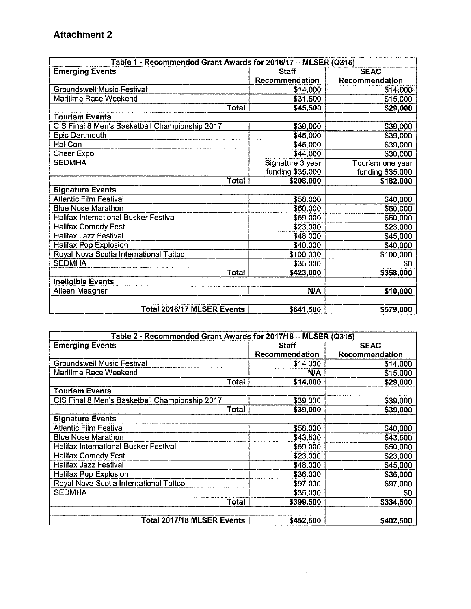# Attachment 2

 $\sim$   $\sim$ 

| Table 1 - Recommended Grant Awards for 2016/17 - MLSER (Q315) |                       |                  |
|---------------------------------------------------------------|-----------------------|------------------|
| <b>Emerging Events</b>                                        | <b>Staff</b>          | <b>SEAC</b>      |
|                                                               | <b>Recommendation</b> | Recommendation   |
| Groundswell Music Festival                                    | \$14,000              | \$14,000         |
| <b>Maritime Race Weekend</b>                                  | \$31,500              | \$15,000         |
| Total                                                         | \$45,500              | \$29,000         |
| <b>Tourism Events</b>                                         |                       |                  |
| CIS Final 8 Men's Basketball Championship 2017                | \$39,000              | \$39,000         |
| Epic Dartmouth                                                | \$45,000              | \$39,000         |
| Hal-Con                                                       | \$45,000              | \$39,000         |
| Cheer Expo                                                    | \$44,000              | \$30,000         |
| <b>SEDMHA</b>                                                 | Signature 3 year      | Tourism one year |
|                                                               | funding \$35,000      | funding \$35,000 |
| Total                                                         | \$208,000             | \$182,000        |
| <b>Signature Events</b>                                       |                       |                  |
| <b>Atlantic Film Festival</b>                                 | \$58,000              | \$40,000         |
| <b>Blue Nose Marathon</b>                                     | \$60,000              | \$60,000         |
| <b>Halifax International Busker Festival</b>                  | \$59,000              | \$50,000         |
| <b>Halifax Comedy Fest</b>                                    | \$23,000              | \$23,000         |
| <b>Halifax Jazz Festival</b>                                  | \$48,000              | \$45,000         |
| Halifax Pop Explosion                                         | \$40,000              | \$40,000         |
| Royal Nova Scotia International Tattoo                        | \$100,000             | \$100,000        |
| <b>SEDMHA</b>                                                 | \$35,000              | \$0              |
| <b>Total</b>                                                  | \$423,000             | \$358,000        |
| <b>Ineligible Events</b>                                      |                       |                  |
| Aileen Meagher                                                | <b>N/A</b>            | \$10,000         |
|                                                               |                       |                  |
| Total 2016/17 MLSER Events                                    | \$641,500             | \$579,000        |

 $\bar{\mathcal{A}}$ 

|                                                | Table 2 - Recommended Grant Awards for 2017/18 - MLSER (Q315) |                |  |  |  |  |
|------------------------------------------------|---------------------------------------------------------------|----------------|--|--|--|--|
| <b>Emerging Events</b>                         | <b>Staff</b>                                                  | <b>SEAC</b>    |  |  |  |  |
|                                                | Recommendation                                                | Recommendation |  |  |  |  |
| <b>Groundswell Music Festival</b>              | \$14,000                                                      | \$14,000       |  |  |  |  |
| Maritime Race Weekend                          | N/A                                                           | \$15,000       |  |  |  |  |
| <b>Total</b>                                   | \$14,000                                                      | \$29,000       |  |  |  |  |
| <b>Tourism Events</b>                          |                                                               |                |  |  |  |  |
| CIS Final 8 Men's Basketball Championship 2017 | \$39,000                                                      | \$39,000       |  |  |  |  |
| Total                                          | \$39,000                                                      | \$39,000       |  |  |  |  |
| <b>Signature Events</b>                        |                                                               |                |  |  |  |  |
| <b>Atlantic Film Festival</b>                  | \$58,000                                                      | \$40,000       |  |  |  |  |
| <b>Blue Nose Marathon</b>                      | \$43,500                                                      | \$43,500       |  |  |  |  |
| Halifax International Busker Festival          | \$59,000                                                      | \$50,000       |  |  |  |  |
| <b>Halifax Comedy Fest</b>                     | \$23,000                                                      | \$23,000       |  |  |  |  |
| <b>Halifax Jazz Festival</b>                   | \$48,000                                                      | \$45,000       |  |  |  |  |
| <b>Halifax Pop Explosion</b>                   | \$36,000                                                      | \$36,000       |  |  |  |  |
| Royal Nova Scotia International Tattoo         | \$97,000                                                      | \$97,000       |  |  |  |  |
| <b>SEDMHA</b>                                  | \$35,000                                                      | \$0            |  |  |  |  |
| Total                                          | \$399,500                                                     | \$334,500      |  |  |  |  |
|                                                |                                                               |                |  |  |  |  |
| Total 2017/18 MLSER Events                     | \$452,500                                                     | \$402,500      |  |  |  |  |

 $\sim 10^{-1}$